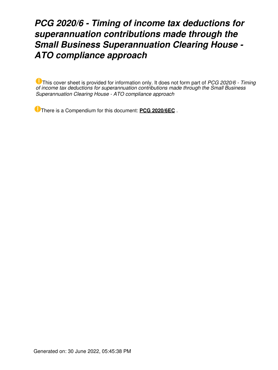# *PCG 2020/6 - Timing of income tax deductions for superannuation contributions made through the Small Business Superannuation Clearing House - ATO compliance approach*

This cover sheet is provided for information only. It does not form part of *PCG 2020/6 - Timing of income tax deductions for superannuation contributions made through the Small Business Superannuation Clearing House - ATO compliance approach*

There is a Compendium for this document: **[PCG 2020/6EC](https://www.ato.gov.au/law/view/document?LocID=%22COG%2FPCG20206EC%2FNAT%2FATO%2F00001%22&PiT=99991231235958)** .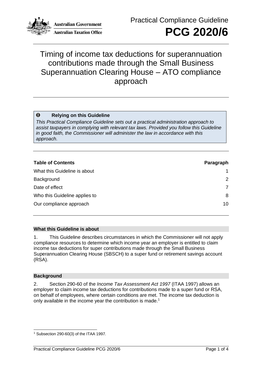

**Australian Government Australian Taxation Office** 

## Timing of income tax deductions for superannuation contributions made through the Small Business Superannuation Clearing House – ATO compliance approach

#### $\bullet$ **Relying on this Guideline**

*This Practical Compliance Guideline sets out a practical administration approach to assist taxpayers in complying with relevant tax laws. Provided you follow this Guideline in good faith, the Commissioner will administer the law in accordance with this approach.*

| <b>Table of Contents</b>      | Paragraph |
|-------------------------------|-----------|
| What this Guideline is about  | 1         |
| Background                    | 2         |
| Date of effect                | 7         |
| Who this Guideline applies to | 8         |
| Our compliance approach       | 10        |

#### **What this Guideline is about**

1. This Guideline describes circumstances in which the Commissioner will not apply compliance resources to determine which income year an employer is entitled to claim income tax deductions for super contributions made through the Small Business Superannuation Clearing House (SBSCH) to a super fund or retirement savings account (RSA).

#### **Background**

2. Section 290-60 of the *Income Tax Assessment Act 1997* (ITAA 1997) allows an employer to claim income tax deductions for contributions made to a super fund or RSA, on behalf of employees, where certain conditions are met. The income tax deduction is only available in the income year the contribution is made.<sup>1</sup>

<sup>1</sup> Subsection 290-60(3) of the ITAA 1997.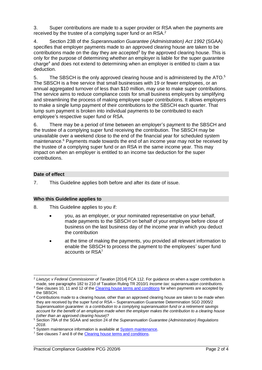3. Super contributions are made to a super provider or RSA when the payments are received by the trustee of a complying super fund or an RSA.<sup>2</sup>

4. Section 23B of the *Superannuation Guarantee (Administration) Act 1992* (SGAA) specifies that employer payments made to an approved clearing house are taken to be contributions made on the day they are accepted<sup>3</sup> by the approved clearing house. This is only for the purpose of determining whether an employer is liable for the super guarantee charge<sup>4</sup> and does not extend to determining when an employer is entitled to claim a tax deduction.

5. The SBSCH is the only approved clearing house and is administered by the ATO.<sup>5</sup> The SBSCH is a free service that small businesses with 19 or fewer employees, or an annual aggregated turnover of less than \$10 million, may use to make super contributions. The service aims to reduce compliance costs for small business employers by simplifying and streamlining the process of making employee super contributions. It allows employers to make a single lump payment of their contributions to the SBSCH each quarter. That lump sum payment is broken into individual payments to be contributed to each employee's respective super fund or RSA.

There may be a period of time between an employer's payment to the SBSCH and the trustee of a complying super fund receiving the contribution. The SBSCH may be unavailable over a weekend close to the end of the financial year for scheduled system maintenance.<sup>6</sup> Payments made towards the end of an income year may not be received by the trustee of a complying super fund or an RSA in the same income year. This may impact on when an employer is entitled to an income tax deduction for the super contributions.

### **Date of effect**

7. This Guideline applies both before and after its date of issue.

#### **Who this Guideline applies to**

- 8. This Guideline applies to you if:
	- you, as an employer, or your nominated representative on your behalf, made payments to the SBSCH on behalf of your employee before close of business on the last business day of the income year in which you deduct the contribution
	- at the time of making the payments, you provided all relevant information to enable the SBSCH to process the payment to the employees' super fund accounts or RSA<sup>7</sup>

<sup>2</sup> *Liwszyc v Federal Commissioner of Taxation* [2014] FCA 112. For guidance on when a super contribution is made, see paragraphs 182 to 210 of Taxation Ruling TR 2010/1 *Income tax: superannuation contributions*.

<sup>&</sup>lt;sup>3</sup> See clauses 10, 11 and 12 of th[e Clearing house terms and conditions](https://www.ato.gov.au/Business/Super-for-employers/In-detail/Small-Business-Superannuation-Clearing-House/Clearing-house-terms-and-conditions-of-use-and-access-(employers)/) for when payments are accepted by the SBSCH.

<sup>4</sup> Contributions made to a clearing house, other than an approved clearing house are taken to be made when they are received by the super fund or RSA – Superannuation Guarantee Determination SGD 2005/2 *Superannuation guarantee: is a contribution to a complying superannuation fund or a retirement savings account for the benefit of an employee made when the employer makes the contribution to a clearing house (other than an approved clearing house)?*

<sup>5</sup> Section 79A of the SGAA and section 24 of the *Superannuation Guarantee (Administration) Regulations 2018*.

<sup>&</sup>lt;sup>6</sup> System maintenance information is available at **System maintenance**.

<sup>&</sup>lt;sup>7</sup> See clauses 7 and 8 of th[e Clearing house terms and conditions.](https://www.ato.gov.au/Business/Super-for-employers/In-detail/Small-Business-Superannuation-Clearing-House/Clearing-house-terms-and-conditions-of-use-and-access-(employers)/)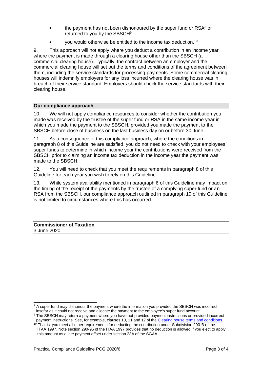- the payment has not been dishonoured by the super fund or  $RSA<sup>8</sup>$  or returned to you by the SBSCH<sup>9</sup>
- you would otherwise be entitled to the income tax deduction.<sup>10</sup>

9. This approach will not apply where you deduct a contribution in an income year where the payment is made through a clearing house other than the SBSCH (a commercial clearing house). Typically, the contract between an employer and the commercial clearing house will set out the terms and conditions of the agreement between them, including the service standards for processing payments. Some commercial clearing houses will indemnify employers for any loss incurred where the clearing house was in breach of their service standard. Employers should check the service standards with their clearing house.

#### **Our compliance approach**

10. We will not apply compliance resources to consider whether the contribution you made was received by the trustee of the super fund or RSA in the same income year in which you made the payment to the SBSCH, provided you made the payment to the SBSCH before close of business on the last business day on or before 30 June.

11. As a consequence of this compliance approach, where the conditions in paragraph 8 of this Guideline are satisfied, you do not need to check with your employees' super funds to determine in which income year the contributions were received from the SBSCH prior to claiming an income tax deduction in the income year the payment was made to the SBSCH.

12. You will need to check that you meet the requirements in paragraph 8 of this Guideline for each year you wish to rely on this Guideline.

13. While system availability mentioned in paragraph 6 of this Guideline may impact on the timing of the receipt of the payments by the trustee of a complying super fund or an RSA from the SBSCH, our compliance approach outlined in paragraph 10 of this Guideline is not limited to circumstances where this has occurred.

**Commissioner of Taxation** 3 June 2020

<sup>&</sup>lt;sup>8</sup> A super fund may dishonour the payment where the information you provided the SBSCH was incorrect

insofar as it could not receive and allocate the payment to the employee's super fund account.

<sup>9</sup> The SBSCH may return a payment where you have not provided payment instructions or provided incorrect payment instructions. See, for example, clauses 10, 11 and 12 of th[e Clearing house terms and conditions.](https://www.ato.gov.au/Business/Super-for-employers/In-detail/Small-Business-Superannuation-Clearing-House/Clearing-house-terms-and-conditions-of-use-and-access-(employers)/)

<sup>&</sup>lt;sup>10</sup> That is, you meet all other requirements for deducting the contribution under Subdivision 290-B of the ITAA 1997. Note section 290-95 of the ITAA 1997 provides that no deduction is allowed if you elect to apply this amount as a late payment offset under section 23A of the SGAA.